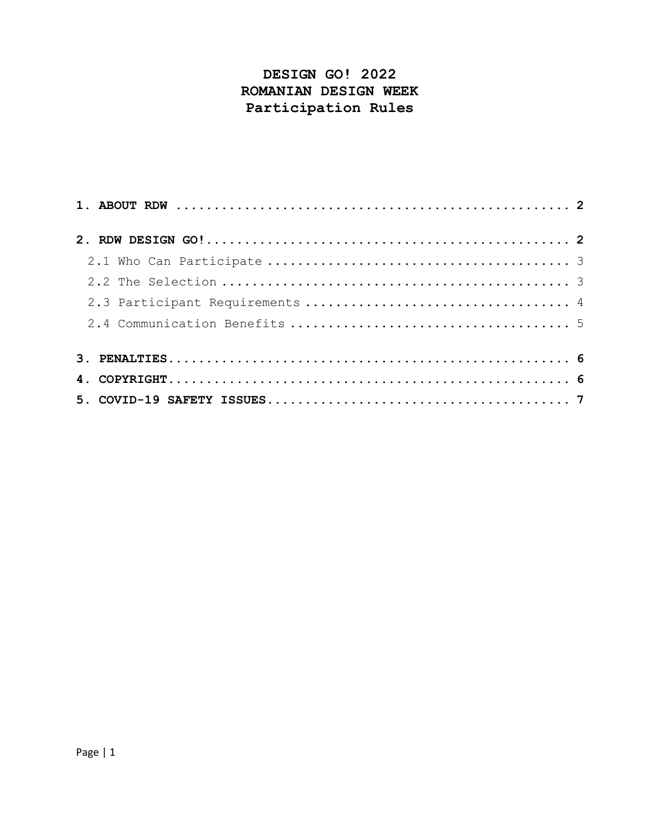# **DESIGN GO! 2022 ROMANIAN DESIGN WEEK Participation Rules**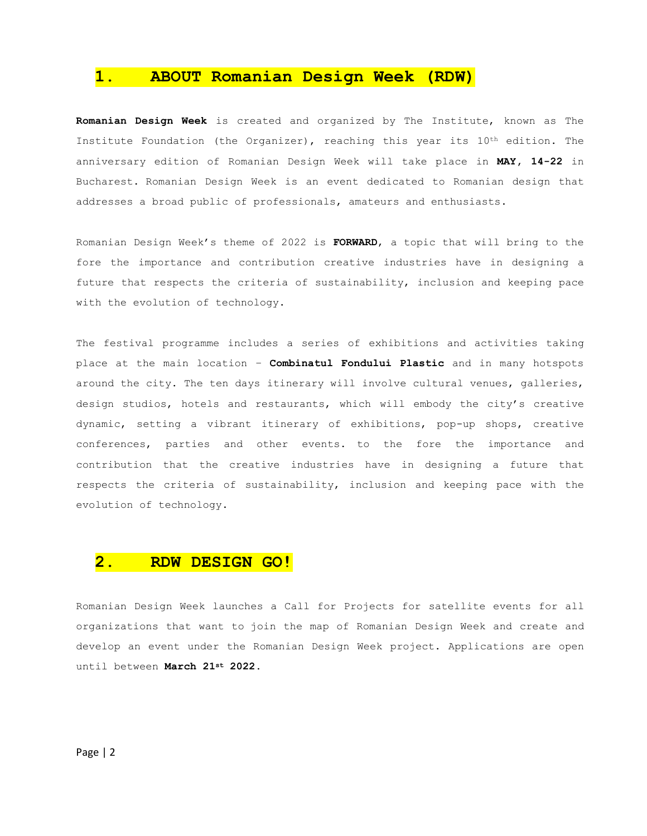## **1. ABOUT Romanian Design Week (RDW)**

**Romanian Design Week** is created and organized by The Institute, known as The Institute Foundation (the Organizer), reaching this year its 10<sup>th</sup> edition. The anniversary edition of Romanian Design Week will take place in **MAY, 14-22** in Bucharest. Romanian Design Week is an event dedicated to Romanian design that addresses a broad public of professionals, amateurs and enthusiasts.

Romanian Design Week's theme of 2022 is **FORWARD**, a topic that will bring to the fore the importance and contribution creative industries have in designing a future that respects the criteria of sustainability, inclusion and keeping pace with the evolution of technology.

The festival programme includes a series of exhibitions and activities taking place at the main location – **Combinatul Fondului Plastic** and in many hotspots around the city. The ten days itinerary will involve cultural venues, galleries, design studios, hotels and restaurants, which will embody the city's creative dynamic, setting a vibrant itinerary of exhibitions, pop-up shops, creative conferences, parties and other events. to the fore the importance and contribution that the creative industries have in designing a future that respects the criteria of sustainability, inclusion and keeping pace with the evolution of technology.

## **2. RDW DESIGN GO!**

Romanian Design Week launches a Call for Projects for satellite events for all organizations that want to join the map of Romanian Design Week and create and develop an event under the Romanian Design Week project. Applications are open until between **March 21st 2022.**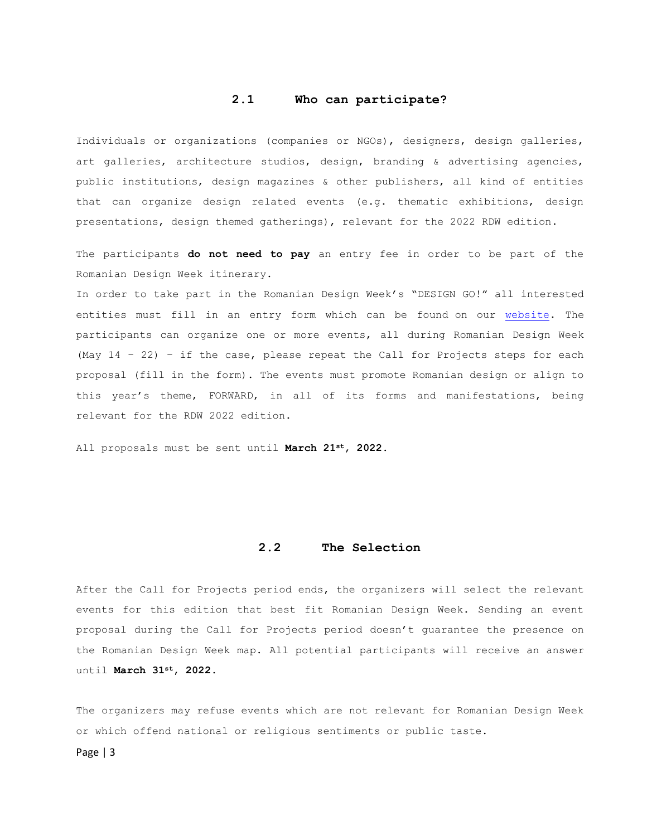### **2.1 Who can participate?**

Individuals or organizations (companies or NGOs), designers, design galleries, art galleries, architecture studios, design, branding & advertising agencies, public institutions, design magazines & other publishers, all kind of entities that can organize design related events (e.g. thematic exhibitions, design presentations, design themed gatherings), relevant for the 2022 RDW edition.

The participants **do not need to pay** an entry fee in order to be part of the Romanian Design Week itinerary.

In order to take part in the Romanian Design Week's "DESIGN GO!" all interested entities must fill in an entry form which can be found on our [website.](http://www.romaniandesignweek.ro/) The participants can organize one or more events, all during Romanian Design Week (May 14 – 22) – if the case, please repeat the Call for Projects steps for each proposal (fill in the form). The events must promote Romanian design or align to this year's theme, FORWARD, in all of its forms and manifestations, being relevant for the RDW 2022 edition.

All proposals must be sent until **March 21st, 2022.**

#### **2.2 The Selection**

After the Call for Projects period ends, the organizers will select the relevant events for this edition that best fit Romanian Design Week. Sending an event proposal during the Call for Projects period doesn't guarantee the presence on the Romanian Design Week map. All potential participants will receive an answer until **March 31st, 2022.**

The organizers may refuse events which are not relevant for Romanian Design Week or which offend national or religious sentiments or public taste.

Page | 3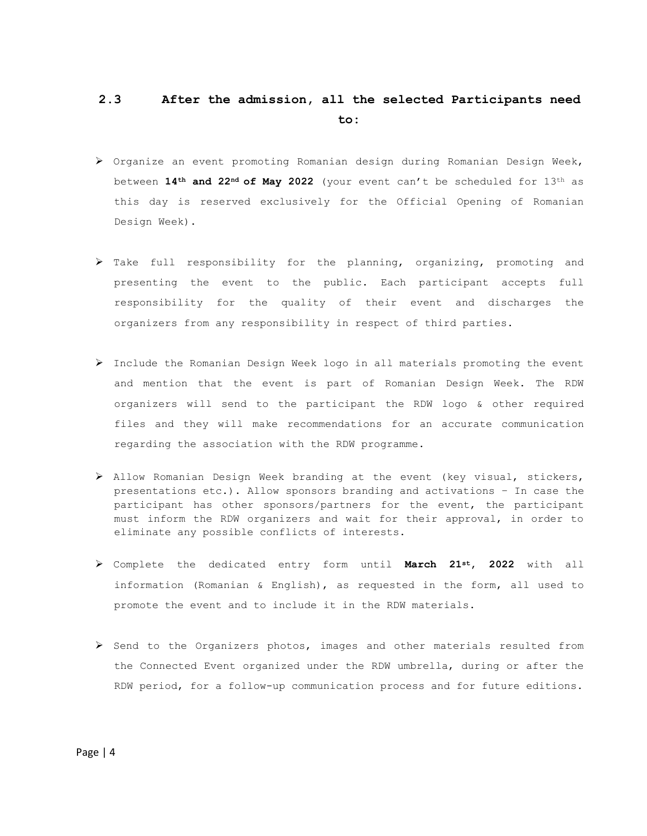# **2.3 After the admission, all the selected Participants need to:**

- ➢ Organize an event promoting Romanian design during Romanian Design Week, between **14th and 22nd of May 2022** (your event can't be scheduled for 13th as this day is reserved exclusively for the Official Opening of Romanian Design Week).
- $\triangleright$  Take full responsibility for the planning, organizing, promoting and presenting the event to the public. Each participant accepts full responsibility for the quality of their event and discharges the organizers from any responsibility in respect of third parties.
- ➢ Include the Romanian Design Week logo in all materials promoting the event and mention that the event is part of Romanian Design Week. The RDW organizers will send to the participant the RDW logo & other required files and they will make recommendations for an accurate communication regarding the association with the RDW programme.
- ➢ Allow Romanian Design Week branding at the event (key visual, stickers, presentations etc.). Allow sponsors branding and activations – In case the participant has other sponsors/partners for the event, the participant must inform the RDW organizers and wait for their approval, in order to eliminate any possible conflicts of interests.
- ➢ Complete the dedicated entry form until **March 21st, 2022** with all information (Romanian & English), as requested in the form, all used to promote the event and to include it in the RDW materials.
- ➢ Send to the Organizers photos, images and other materials resulted from the Connected Event organized under the RDW umbrella, during or after the RDW period, for a follow-up communication process and for future editions.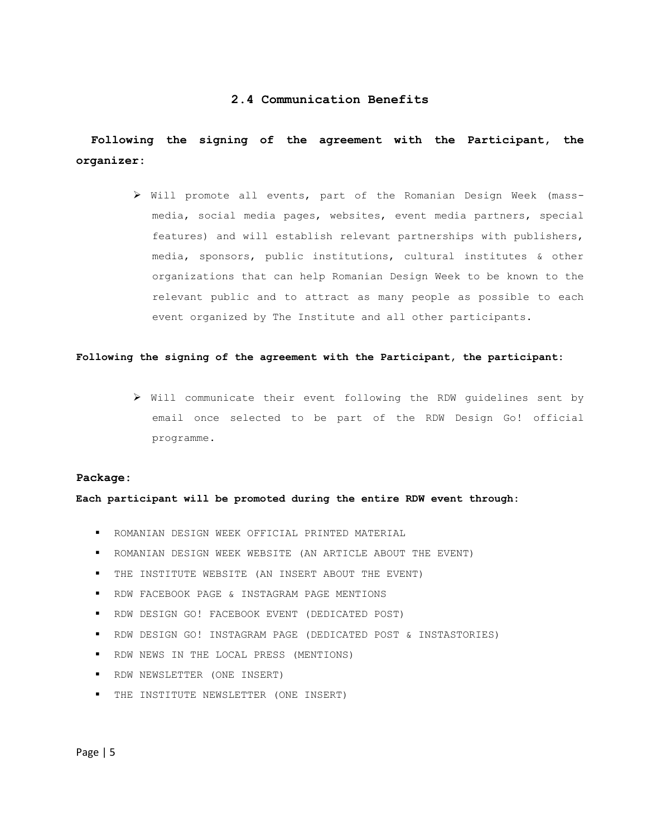### **2.4 Communication Benefits**

## **Following the signing of the agreement with the Participant, the organizer:**

➢ Will promote all events, part of the Romanian Design Week (massmedia, social media pages, websites, event media partners, special features) and will establish relevant partnerships with publishers, media, sponsors, public institutions, cultural institutes & other organizations that can help Romanian Design Week to be known to the relevant public and to attract as many people as possible to each event organized by The Institute and all other participants.

#### **Following the signing of the agreement with the Participant, the participant:**

➢ Will communicate their event following the RDW guidelines sent by email once selected to be part of the RDW Design Go! official programme.

#### **Package:**

**Each participant will be promoted during the entire RDW event through:**

- ROMANIAN DESIGN WEEK OFFICIAL PRINTED MATERIAL
- ROMANIAN DESIGN WEEK WEBSITE (AN ARTICLE ABOUT THE EVENT)
- THE INSTITUTE WEBSITE (AN INSERT ABOUT THE EVENT)
- RDW FACEBOOK PAGE & INSTAGRAM PAGE MENTIONS
- RDW DESIGN GO! FACEBOOK EVENT (DEDICATED POST)
- RDW DESIGN GO! INSTAGRAM PAGE (DEDICATED POST & INSTASTORIES)
- RDW NEWS IN THE LOCAL PRESS (MENTIONS)
- RDW NEWSLETTER (ONE INSERT)
- THE INSTITUTE NEWSLETTER (ONE INSERT)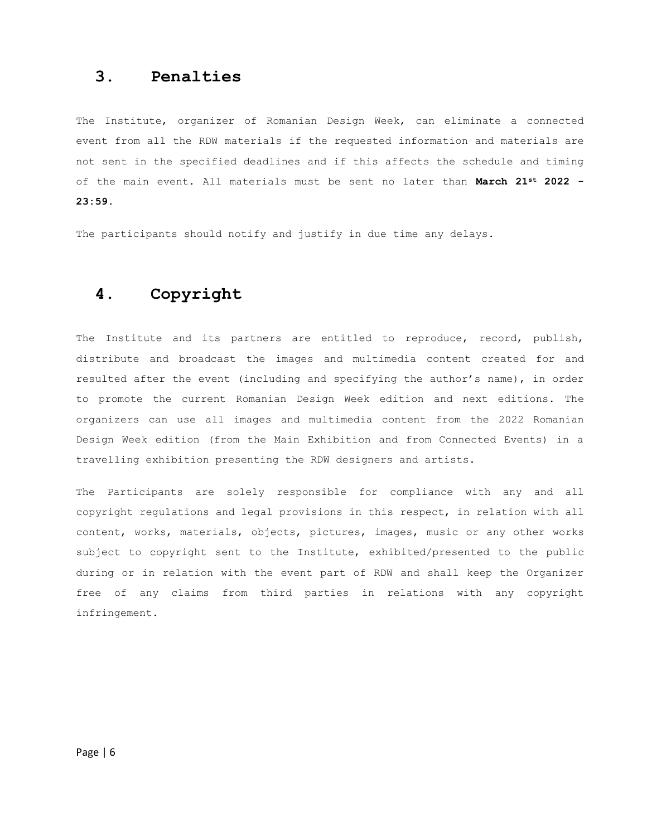## **3. Penalties**

The Institute, organizer of Romanian Design Week, can eliminate a connected event from all the RDW materials if the requested information and materials are not sent in the specified deadlines and if this affects the schedule and timing of the main event. All materials must be sent no later than **March 21st 2022 - 23:59.**

The participants should notify and justify in due time any delays.

# **4. Copyright**

The Institute and its partners are entitled to reproduce, record, publish, distribute and broadcast the images and multimedia content created for and resulted after the event (including and specifying the author's name), in order to promote the current Romanian Design Week edition and next editions. The organizers can use all images and multimedia content from the 2022 Romanian Design Week edition (from the Main Exhibition and from Connected Events) in a travelling exhibition presenting the RDW designers and artists.

The Participants are solely responsible for compliance with any and all copyright regulations and legal provisions in this respect, in relation with all content, works, materials, objects, pictures, images, music or any other works subject to copyright sent to the Institute, exhibited/presented to the public during or in relation with the event part of RDW and shall keep the Organizer free of any claims from third parties in relations with any copyright infringement.